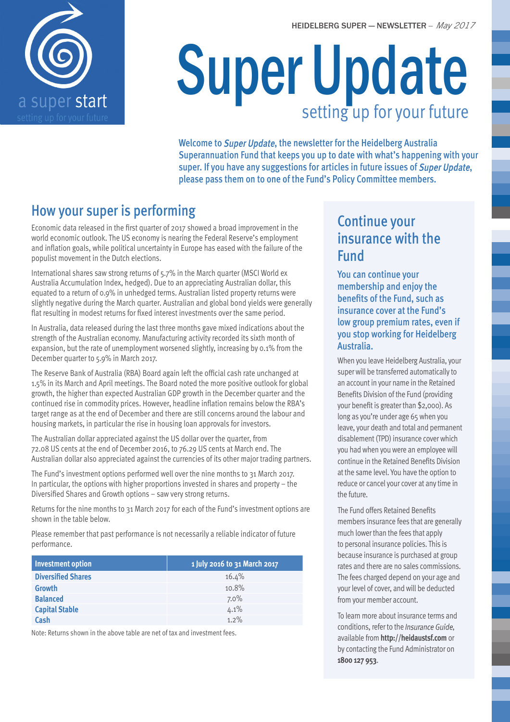



# Super Update setting up for your future

Welcome to Super Update, the newsletter for the Heidelberg Australia Superannuation Fund that keeps you up to date with what's happening with your super. If you have any suggestions for articles in future issues of Super Update, please pass them on to one of the Fund's Policy Committee members.

## How your super is performing

Economic data released in the first quarter of 2017 showed a broad improvement in the world economic outlook. The US economy is nearing the Federal Reserve's employment and inflation goals, while political uncertainty in Europe has eased with the failure of the populist movement in the Dutch elections.

International shares saw strong returns of 5.7% in the March quarter (MSCI World ex Australia Accumulation Index, hedged). Due to an appreciating Australian dollar, this equated to a return of 0.9% in unhedged terms. Australian listed property returns were slightly negative during the March quarter. Australian and global bond yields were generally flat resulting in modest returns for fixed interest investments over the same period.

In Australia, data released during the last three months gave mixed indications about the strength of the Australian economy. Manufacturing activity recorded its sixth month of expansion, but the rate of unemployment worsened slightly, increasing by 0.1% from the December quarter to 5.9% in March 2017.

The Reserve Bank of Australia (RBA) Board again left the official cash rate unchanged at 1.5% in its March and April meetings. The Board noted the more positive outlook for global growth, the higher than expected Australian GDP growth in the December quarter and the continued rise in commodity prices. However, headline inflation remains below the RBA's target range as at the end of December and there are still concerns around the labour and housing markets, in particular the rise in housing loan approvals for investors.

The Australian dollar appreciated against the US dollar over the quarter, from 72.08 US cents at the end of December 2016, to 76.29 US cents at March end. The Australian dollar also appreciated against the currencies of its other major trading partners.

The Fund's investment options performed well over the nine months to 31 March 2017. In particular, the options with higher proportions invested in shares and property – the Diversified Shares and Growth options – saw very strong returns.

Returns for the nine months to 31 March 2017 for each of the Fund's investment options are shown in the table below.

Please remember that past performance is not necessarily a reliable indicator of future performance.

| <b>Investment option</b>  | 1 July 2016 to 31 March 2017 |
|---------------------------|------------------------------|
| <b>Diversified Shares</b> | 16.4%                        |
| <b>Growth</b>             | 10.8%                        |
| <b>Balanced</b>           | 7.0%                         |
| <b>Capital Stable</b>     | 4.1%                         |
| Cash                      | $1.2\%$                      |

Note: Returns shown in the above table are net of tax and investment fees.

### Continue your insurance with the Fund

You can continue your membership and enjoy the benefits of the Fund, such as insurance cover at the Fund's low group premium rates, even if you stop working for Heidelberg Australia.

When you leave Heidelberg Australia, your super will be transferred automatically to an account in your name in the Retained Benefits Division of the Fund (providing your benefit is greater than \$2,000). As long as you're under age 65 when you leave, your death and total and permanent disablement (TPD) insurance cover which you had when you were an employee will continue in the Retained Benefits Division at the same level. You have the option to reduce or cancel your cover at any time in the future.

The Fund offers Retained Benefits members insurance fees that are generally much lower than the fees that apply to personal insurance policies. This is because insurance is purchased at group rates and there are no sales commissions. The fees charged depend on your age and your level of cover, and will be deducted from your member account.

To learn more about insurance terms and conditions, refer to the Insurance Guide, available from **http://heidaustsf.com** or by contacting the Fund Administrator on **1800 127 953**.